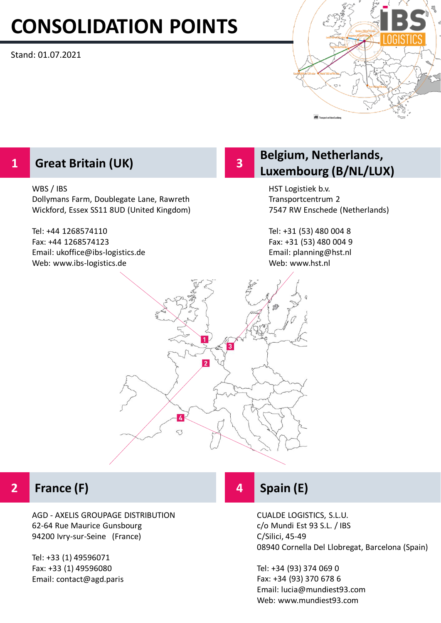# **CONSOLIDATION POINTS**

Stand: 01.07.2021



# **1**

### WBS / IBS

Dollymans Farm, Doublegate Lane, Rawreth Wickford, Essex SS11 8UD (United Kingdom)

Tel: +44 1268574110 Fax: +44 1268574123 Email: ukoffice@ibs-logistics.de Web: www.ibs-logistics.de

## **Belgium, Netherlands,**  Great Britain (UK) **Billiam Contract Britain (UK) Great Britain (UK) Great Britain (B/NL/LUX)**

HST Logistiek b.v. Transportcentrum 2 7547 RW Enschede (Netherlands)

Tel: +31 (53) 480 004 8 Fax: +31 (53) 480 004 9 Email: planning@hst.nl Web: www.hst.nl



**3**

#### **2 France (F)**

AGD - AXELIS GROUPAGE DISTRIBUTION 62-64 Rue Maurice Gunsbourg 94200 Ivry-sur-Seine (France)

Tel: +33 (1) 49596071 Fax: +33 (1) 49596080 Email: contact@agd.paris

# **4 Spain (E)**

CUALDE LOGISTICS, S.L.U. c/o Mundi Est 93 S.L. / IBS C/Silici, 45-49 08940 Cornella Del Llobregat, Barcelona (Spain)

Tel: +34 (93) 374 069 0 Fax: +34 (93) 370 678 6 Email: lucia@mundiest93.com Web: www.mundiest93.com